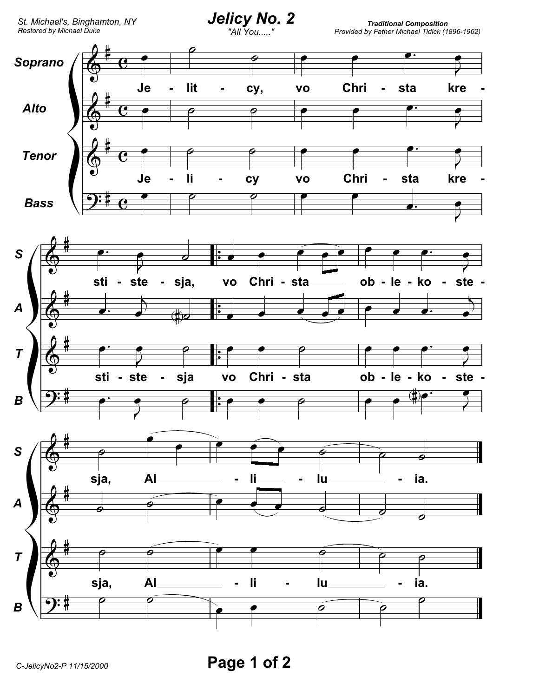

Page 1 of 2